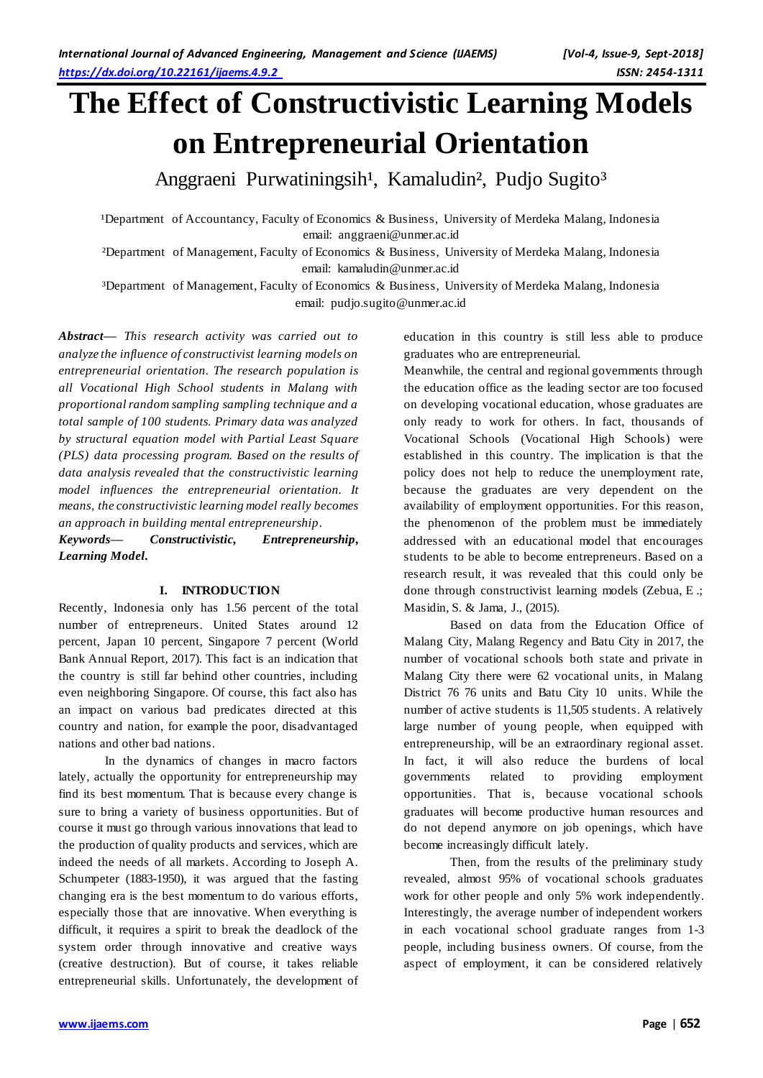# **The Effect of Constructivistic Learning Models on Entrepreneurial Orientation**

Anggraeni Purwatiningsih<sup>1</sup>, Kamaludin<sup>2</sup>, Pudjo Sugito<sup>3</sup>

<sup>1</sup>Department of Accountancy, Faculty of Economics & Business, University of Merdeka Malang, Indonesia email: [anggraeni@unmer.ac.id](mailto:anggraeni@unmer.ac.id)

²Department of Management, Faculty of Economics & Business, University of Merdeka Malang, Indonesia email: [kamaludin@unmer.ac.id](mailto:kamaludin@unmer.ac.id)

³Department of Management, Faculty of Economics & Business, University of Merdeka Malang, Indonesia email: pudjo.sugito@unmer.ac.id

*Abstract— This research activity was carried out to analyze the influence of constructivist learning models on entrepreneurial orientation. The research population is all Vocational High School students in Malang with proportional random sampling sampling technique and a total sample of 100 students. Primary data was analyzed by structural equation model with Partial Least Square (PLS) data processing program. Based on the results of data analysis revealed that the constructivistic learning model influences the entrepreneurial orientation. It means, the constructivistic learning model really becomes an approach in building mental entrepreneurship.*

*Keywords— Constructivistic, Entrepreneurship, Learning Model.*

# **I. INTRODUCTION**

Recently, Indonesia only has 1.56 percent of the total number of entrepreneurs. United States around 12 percent, Japan 10 percent, Singapore 7 percent (World Bank Annual Report, 2017). This fact is an indication that the country is still far behind other countries, including even neighboring Singapore. Of course, this fact also has an impact on various bad predicates directed at this country and nation, for example the poor, disadvantaged nations and other bad nations.

In the dynamics of changes in macro factors lately, actually the opportunity for entrepreneurship may find its best momentum. That is because every change is sure to bring a variety of business opportunities. But of course it must go through various innovations that lead to the production of quality products and services, which are indeed the needs of all markets. According to Joseph A. Schumpeter (1883-1950), it was argued that the fasting changing era is the best momentum to do various efforts, especially those that are innovative. When everything is difficult, it requires a spirit to break the deadlock of the system order through innovative and creative ways (creative destruction). But of course, it takes reliable entrepreneurial skills. Unfortunately, the development of education in this country is still less able to produce graduates who are entrepreneurial.

Meanwhile, the central and regional governments through the education office as the leading sector are too focused on developing vocational education, whose graduates are only ready to work for others. In fact, thousands of Vocational Schools (Vocational High Schools) were established in this country. The implication is that the policy does not help to reduce the unemployment rate, because the graduates are very dependent on the availability of employment opportunities. For this reason, the phenomenon of the problem must be immediately addressed with an educational model that encourages students to be able to become entrepreneurs. Based on a research result, it was revealed that this could only be done through constructivist learning models (Zebua, E .; Masidin, S. & Jama, J., (2015).

Based on data from the Education Office of Malang City, Malang Regency and Batu City in 2017, the number of vocational schools both state and private in Malang City there were 62 vocational units, in Malang District 76 76 units and Batu City 10 units. While the number of active students is 11,505 students. A relatively large number of young people, when equipped with entrepreneurship, will be an extraordinary regional asset. In fact, it will also reduce the burdens of local governments related to providing employment opportunities. That is, because vocational schools graduates will become productive human resources and do not depend anymore on job openings, which have become increasingly difficult lately.

Then, from the results of the preliminary study revealed, almost 95% of vocational schools graduates work for other people and only 5% work independently. Interestingly, the average number of independent workers in each vocational school graduate ranges from 1-3 people, including business owners. Of course, from the aspect of employment, it can be considered relatively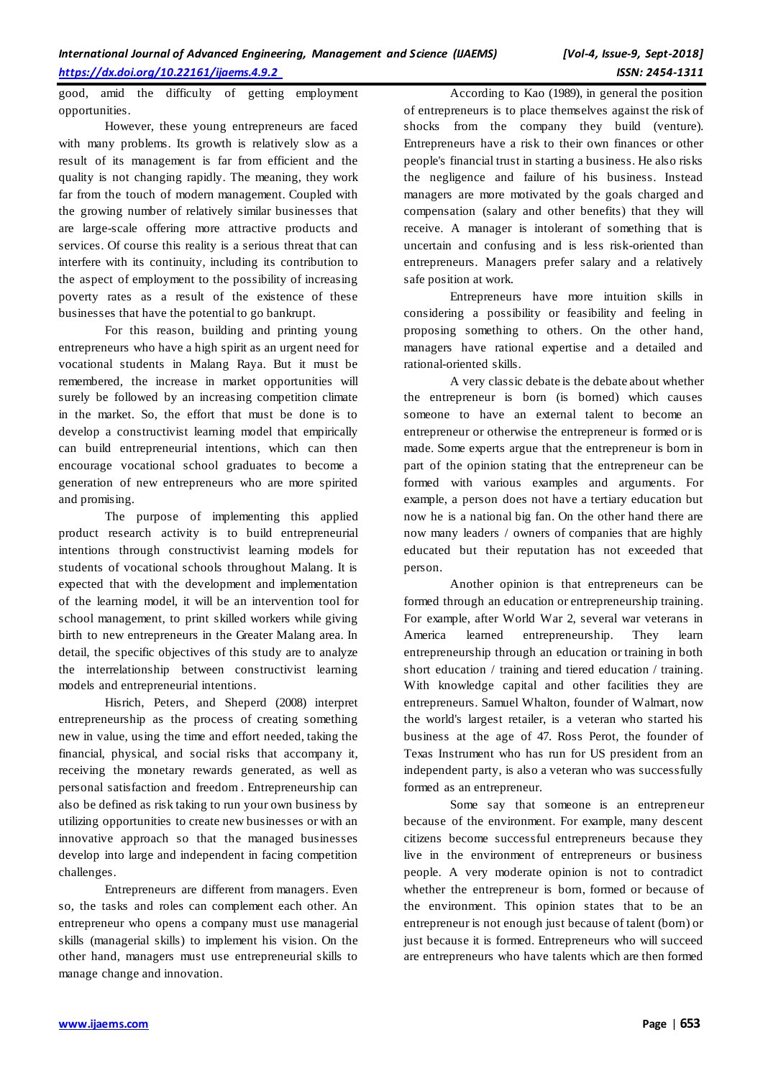good, amid the difficulty of getting employment opportunities.

However, these young entrepreneurs are faced with many problems. Its growth is relatively slow as a result of its management is far from efficient and the quality is not changing rapidly. The meaning, they work far from the touch of modern management. Coupled with the growing number of relatively similar businesses that are large-scale offering more attractive products and services. Of course this reality is a serious threat that can interfere with its continuity, including its contribution to the aspect of employment to the possibility of increasing poverty rates as a result of the existence of these businesses that have the potential to go bankrupt.

For this reason, building and printing young entrepreneurs who have a high spirit as an urgent need for vocational students in Malang Raya. But it must be remembered, the increase in market opportunities will surely be followed by an increasing competition climate in the market. So, the effort that must be done is to develop a constructivist learning model that empirically can build entrepreneurial intentions, which can then encourage vocational school graduates to become a generation of new entrepreneurs who are more spirited and promising.

The purpose of implementing this applied product research activity is to build entrepreneurial intentions through constructivist learning models for students of vocational schools throughout Malang. It is expected that with the development and implementation of the learning model, it will be an intervention tool for school management, to print skilled workers while giving birth to new entrepreneurs in the Greater Malang area. In detail, the specific objectives of this study are to analyze the interrelationship between constructivist learning models and entrepreneurial intentions.

Hisrich, Peters, and Sheperd (2008) interpret entrepreneurship as the process of creating something new in value, using the time and effort needed, taking the financial, physical, and social risks that accompany it, receiving the monetary rewards generated, as well as personal satisfaction and freedom . Entrepreneurship can also be defined as risk taking to run your own business by utilizing opportunities to create new businesses or with an innovative approach so that the managed businesses develop into large and independent in facing competition challenges.

Entrepreneurs are different from managers. Even so, the tasks and roles can complement each other. An entrepreneur who opens a company must use managerial skills (managerial skills) to implement his vision. On the other hand, managers must use entrepreneurial skills to manage change and innovation.

According to Kao (1989), in general the position of entrepreneurs is to place themselves against the risk of shocks from the company they build (venture). Entrepreneurs have a risk to their own finances or other people's financial trust in starting a business. He also risks the negligence and failure of his business. Instead managers are more motivated by the goals charged and compensation (salary and other benefits) that they will receive. A manager is intolerant of something that is uncertain and confusing and is less risk-oriented than entrepreneurs. Managers prefer salary and a relatively safe position at work.

Entrepreneurs have more intuition skills in considering a possibility or feasibility and feeling in proposing something to others. On the other hand, managers have rational expertise and a detailed and rational-oriented skills.

A very classic debate is the debate about whether the entrepreneur is born (is borned) which causes someone to have an external talent to become an entrepreneur or otherwise the entrepreneur is formed or is made. Some experts argue that the entrepreneur is born in part of the opinion stating that the entrepreneur can be formed with various examples and arguments. For example, a person does not have a tertiary education but now he is a national big fan. On the other hand there are now many leaders / owners of companies that are highly educated but their reputation has not exceeded that person.

Another opinion is that entrepreneurs can be formed through an education or entrepreneurship training. For example, after World War 2, several war veterans in America learned entrepreneurship. They learn entrepreneurship through an education or training in both short education / training and tiered education / training. With knowledge capital and other facilities they are entrepreneurs. Samuel Whalton, founder of Walmart, now the world's largest retailer, is a veteran who started his business at the age of 47. Ross Perot, the founder of Texas Instrument who has run for US president from an independent party, is also a veteran who was successfully formed as an entrepreneur.

Some say that someone is an entrepreneur because of the environment. For example, many descent citizens become successful entrepreneurs because they live in the environment of entrepreneurs or business people. A very moderate opinion is not to contradict whether the entrepreneur is born, formed or because of the environment. This opinion states that to be an entrepreneur is not enough just because of talent (born) or just because it is formed. Entrepreneurs who will succeed are entrepreneurs who have talents which are then formed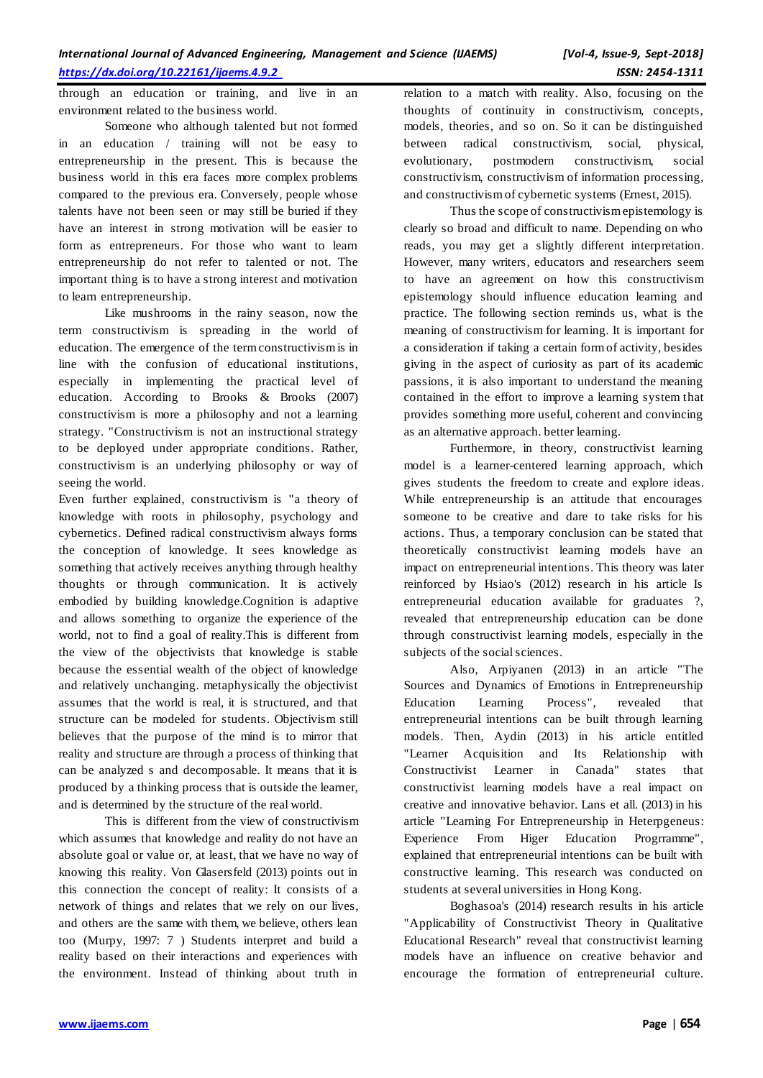through an education or training, and live in an environment related to the business world.

Someone who although talented but not formed in an education / training will not be easy to entrepreneurship in the present. This is because the business world in this era faces more complex problems compared to the previous era. Conversely, people whose talents have not been seen or may still be buried if they have an interest in strong motivation will be easier to form as entrepreneurs. For those who want to learn entrepreneurship do not refer to talented or not. The important thing is to have a strong interest and motivation to learn entrepreneurship.

Like mushrooms in the rainy season, now the term constructivism is spreading in the world of education. The emergence of the term constructivism is in line with the confusion of educational institutions, especially in implementing the practical level of education. According to Brooks & Brooks (2007) constructivism is more a philosophy and not a learning strategy. "Constructivism is not an instructional strategy to be deployed under appropriate conditions. Rather, constructivism is an underlying philosophy or way of seeing the world.

Even further explained, constructivism is "a theory of knowledge with roots in philosophy, psychology and cybernetics. Defined radical constructivism always forms the conception of knowledge. It sees knowledge as something that actively receives anything through healthy thoughts or through communication. It is actively embodied by building knowledge.Cognition is adaptive and allows something to organize the experience of the world, not to find a goal of reality.This is different from the view of the objectivists that knowledge is stable because the essential wealth of the object of knowledge and relatively unchanging. metaphysically the objectivist assumes that the world is real, it is structured, and that structure can be modeled for students. Objectivism still believes that the purpose of the mind is to mirror that reality and structure are through a process of thinking that can be analyzed s and decomposable. It means that it is produced by a thinking process that is outside the learner, and is determined by the structure of the real world.

This is different from the view of constructivism which assumes that knowledge and reality do not have an absolute goal or value or, at least, that we have no way of knowing this reality. Von Glasersfeld (2013) points out in this connection the concept of reality: It consists of a network of things and relates that we rely on our lives, and others are the same with them, we believe, others lean too (Murpy, 1997: 7 ) Students interpret and build a reality based on their interactions and experiences with the environment. Instead of thinking about truth in

relation to a match with reality. Also, focusing on the thoughts of continuity in constructivism, concepts, models, theories, and so on. So it can be distinguished between radical constructivism, social, physical, evolutionary, postmodern constructivism, social constructivism, constructivism of information processing, and constructivism of cybernetic systems (Ernest, 2015).

Thus the scope of constructivism epistemology is clearly so broad and difficult to name. Depending on who reads, you may get a slightly different interpretation. However, many writers, educators and researchers seem to have an agreement on how this constructivism epistemology should influence education learning and practice. The following section reminds us, what is the meaning of constructivism for learning. It is important for a consideration if taking a certain form of activity, besides giving in the aspect of curiosity as part of its academic passions, it is also important to understand the meaning contained in the effort to improve a learning system that provides something more useful, coherent and convincing as an alternative approach. better learning.

Furthermore, in theory, constructivist learning model is a learner-centered learning approach, which gives students the freedom to create and explore ideas. While entrepreneurship is an attitude that encourages someone to be creative and dare to take risks for his actions. Thus, a temporary conclusion can be stated that theoretically constructivist learning models have an impact on entrepreneurial intentions. This theory was later reinforced by Hsiao's (2012) research in his article Is entrepreneurial education available for graduates ?, revealed that entrepreneurship education can be done through constructivist learning models, especially in the subjects of the social sciences.

Also, Arpiyanen (2013) in an article "The Sources and Dynamics of Emotions in Entrepreneurship Education Learning Process", revealed that entrepreneurial intentions can be built through learning models. Then, Aydin (2013) in his article entitled "Learner Acquisition and Its Relationship with Constructivist Learner in Canada" states that constructivist learning models have a real impact on creative and innovative behavior. Lans et all. (2013) in his article "Learning For Entrepreneurship in Heterpgeneus: Experience From Higer Education Progrramme", explained that entrepreneurial intentions can be built with constructive learning. This research was conducted on students at several universities in Hong Kong.

Boghasoa's (2014) research results in his article "Applicability of Constructivist Theory in Qualitative Educational Research" reveal that constructivist learning models have an influence on creative behavior and encourage the formation of entrepreneurial culture.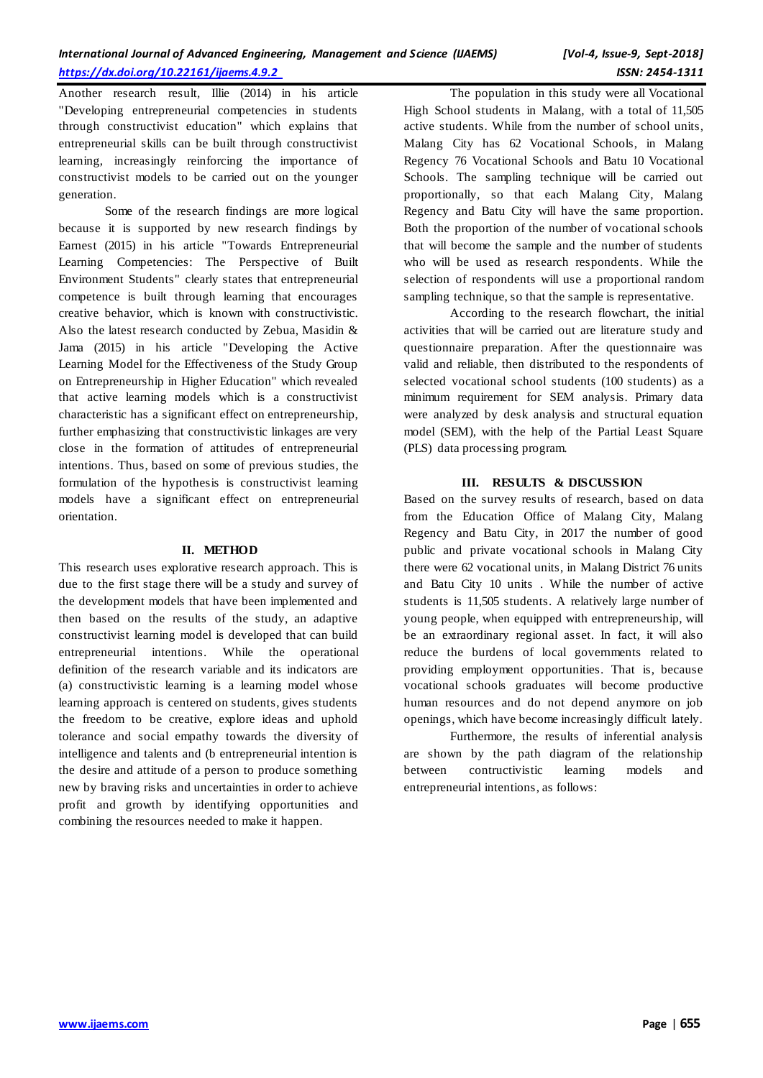Another research result, Illie (2014) in his article "Developing entrepreneurial competencies in students through constructivist education" which explains that entrepreneurial skills can be built through constructivist learning, increasingly reinforcing the importance of constructivist models to be carried out on the younger generation.

Some of the research findings are more logical because it is supported by new research findings by Earnest (2015) in his article "Towards Entrepreneurial Learning Competencies: The Perspective of Built Environment Students" clearly states that entrepreneurial competence is built through learning that encourages creative behavior, which is known with constructivistic. Also the latest research conducted by Zebua, Masidin & Jama (2015) in his article "Developing the Active Learning Model for the Effectiveness of the Study Group on Entrepreneurship in Higher Education" which revealed that active learning models which is a constructivist characteristic has a significant effect on entrepreneurship, further emphasizing that constructivistic linkages are very close in the formation of attitudes of entrepreneurial intentions. Thus, based on some of previous studies, the formulation of the hypothesis is constructivist learning models have a significant effect on entrepreneurial orientation.

# **II. METHOD**

This research uses explorative research approach. This is due to the first stage there will be a study and survey of the development models that have been implemented and then based on the results of the study, an adaptive constructivist learning model is developed that can build entrepreneurial intentions. While the operational definition of the research variable and its indicators are (a) constructivistic learning is a learning model whose learning approach is centered on students, gives students the freedom to be creative, explore ideas and uphold tolerance and social empathy towards the diversity of intelligence and talents and (b entrepreneurial intention is the desire and attitude of a person to produce something new by braving risks and uncertainties in order to achieve profit and growth by identifying opportunities and combining the resources needed to make it happen.

The population in this study were all Vocational High School students in Malang, with a total of 11,505 active students. While from the number of school units, Malang City has 62 Vocational Schools, in Malang Regency 76 Vocational Schools and Batu 10 Vocational Schools. The sampling technique will be carried out proportionally, so that each Malang City, Malang Regency and Batu City will have the same proportion. Both the proportion of the number of vocational schools that will become the sample and the number of students who will be used as research respondents. While the selection of respondents will use a proportional random sampling technique, so that the sample is representative.

According to the research flowchart, the initial activities that will be carried out are literature study and questionnaire preparation. After the questionnaire was valid and reliable, then distributed to the respondents of selected vocational school students (100 students) as a minimum requirement for SEM analysis. Primary data were analyzed by desk analysis and structural equation model (SEM), with the help of the Partial Least Square (PLS) data processing program.

# **III. RESULTS & DISCUSSION**

Based on the survey results of research, based on data from the Education Office of Malang City, Malang Regency and Batu City, in 2017 the number of good public and private vocational schools in Malang City there were 62 vocational units, in Malang District 76 units and Batu City 10 units . While the number of active students is 11,505 students. A relatively large number of young people, when equipped with entrepreneurship, will be an extraordinary regional asset. In fact, it will also reduce the burdens of local governments related to providing employment opportunities. That is, because vocational schools graduates will become productive human resources and do not depend anymore on job openings, which have become increasingly difficult lately.

Furthermore, the results of inferential analysis are shown by the path diagram of the relationship between contructivistic learning models and entrepreneurial intentions, as follows: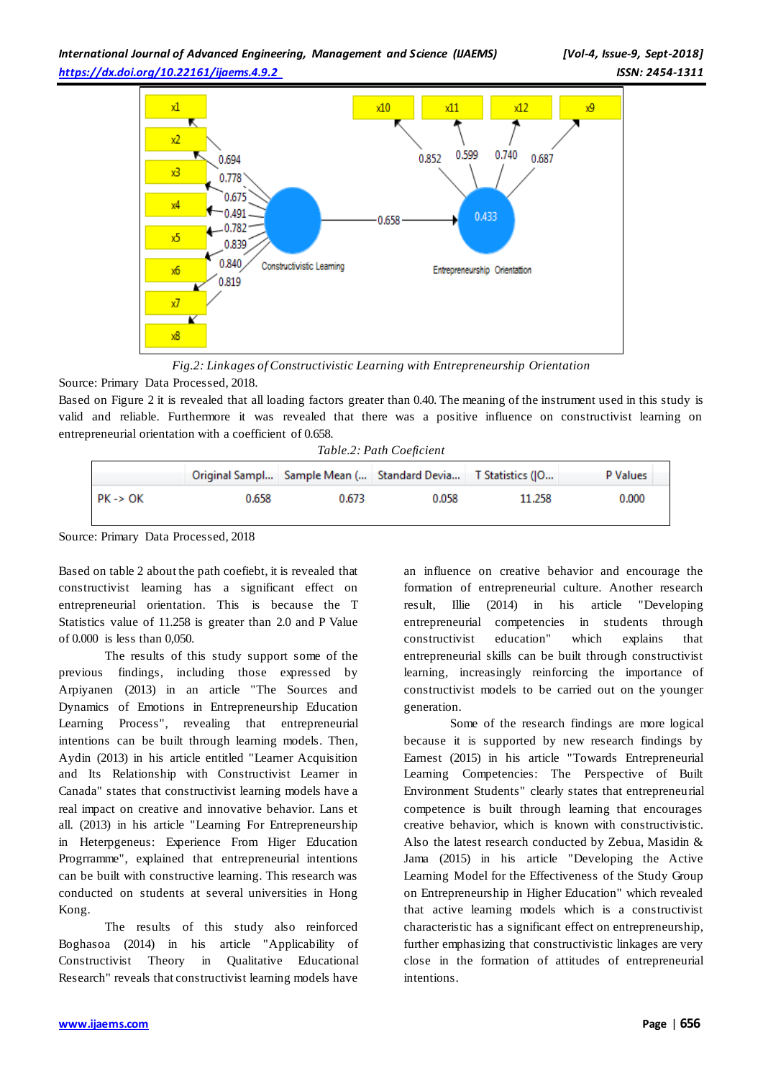

*Fig.2: Linkages of Constructivistic Learning with Entrepreneurship Orientation*

Source: Primary Data Processed, 2018.

Based on Figure 2 it is revealed that all loading factors greater than 0.40. The meaning of the instrument used in this study is valid and reliable. Furthermore it was revealed that there was a positive influence on constructivist learning on entrepreneurial orientation with a coefficient of 0.658.

|                     |       |       | Original Sampl Sample Mean ( Standard Devia T Statistics (JO |        | P Values |
|---------------------|-------|-------|--------------------------------------------------------------|--------|----------|
| $PK \rightarrow OK$ | 0.658 | 0.673 | 0.058                                                        | 11.258 | 0.000    |

Source: Primary Data Processed, 2018

Based on table 2 about the path coefiebt, it is revealed that constructivist learning has a significant effect on entrepreneurial orientation. This is because the T Statistics value of 11.258 is greater than 2.0 and P Value of 0.000 is less than 0,050.

The results of this study support some of the previous findings, including those expressed by Arpiyanen (2013) in an article "The Sources and Dynamics of Emotions in Entrepreneurship Education Learning Process", revealing that entrepreneurial intentions can be built through learning models. Then, Aydin (2013) in his article entitled "Learner Acquisition and Its Relationship with Constructivist Learner in Canada" states that constructivist learning models have a real impact on creative and innovative behavior. Lans et all. (2013) in his article "Learning For Entrepreneurship in Heterpgeneus: Experience From Higer Education Progrramme", explained that entrepreneurial intentions can be built with constructive learning. This research was conducted on students at several universities in Hong Kong.

The results of this study also reinforced Boghasoa (2014) in his article "Applicability of Constructivist Theory in Qualitative Educational Research" reveals that constructivist learning models have

an influence on creative behavior and encourage the formation of entrepreneurial culture. Another research result, Illie (2014) in his article "Developing entrepreneurial competencies in students through constructivist education" which explains that entrepreneurial skills can be built through constructivist learning, increasingly reinforcing the importance of constructivist models to be carried out on the younger generation.

Some of the research findings are more logical because it is supported by new research findings by Earnest (2015) in his article "Towards Entrepreneurial Learning Competencies: The Perspective of Built Environment Students" clearly states that entrepreneurial competence is built through learning that encourages creative behavior, which is known with constructivistic. Also the latest research conducted by Zebua, Masidin & Jama (2015) in his article "Developing the Active Learning Model for the Effectiveness of the Study Group on Entrepreneurship in Higher Education" which revealed that active learning models which is a constructivist characteristic has a significant effect on entrepreneurship, further emphasizing that constructivistic linkages are very close in the formation of attitudes of entrepreneurial intentions.